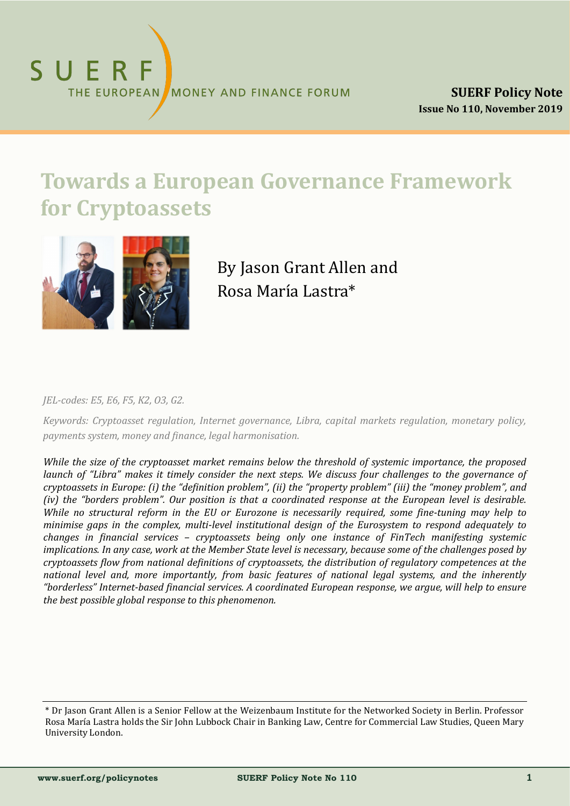# **Towards a European Governance Framework for Cryptoassets**



By Jason Grant Allen and Rosa María Lastra\*

#### *JEL-codes: E5, E6, F5, K2, O3, G2.*

*Keywords: Cryptoasset regulation, Internet governance, Libra, capital markets regulation, monetary policy, payments system, money and finance, legal harmonisation.* 

*While the size of the cryptoasset market remains below the threshold of systemic importance, the proposed launch of "Libra" makes it timely consider the next steps. We discuss four challenges to the governance of cryptoassets in Europe: (i) the "definition problem", (ii) the "property problem" (iii) the "money problem", and (iv) the "borders problem". Our position is that a coordinated response at the European level is desirable. While no structural reform in the EU or Eurozone is necessarily required, some fine-tuning may help to minimise gaps in the complex, multi-level institutional design of the Eurosystem to respond adequately to changes in financial services – cryptoassets being only one instance of FinTech manifesting systemic implications. In any case, work at the Member State level is necessary, because some of the challenges posed by cryptoassets flow from national definitions of cryptoassets, the distribution of regulatory competences at the national level and, more importantly, from basic features of national legal systems, and the inherently "borderless" Internet-based financial services. A coordinated European response, we argue, will help to ensure the best possible global response to this phenomenon.* 

<sup>\*</sup> Dr Jason Grant Allen is a Senior Fellow at the Weizenbaum Institute for the Networked Society in Berlin. Professor Rosa María Lastra holds the Sir John Lubbock Chair in Banking Law, Centre for Commercial Law Studies, Queen Mary University London.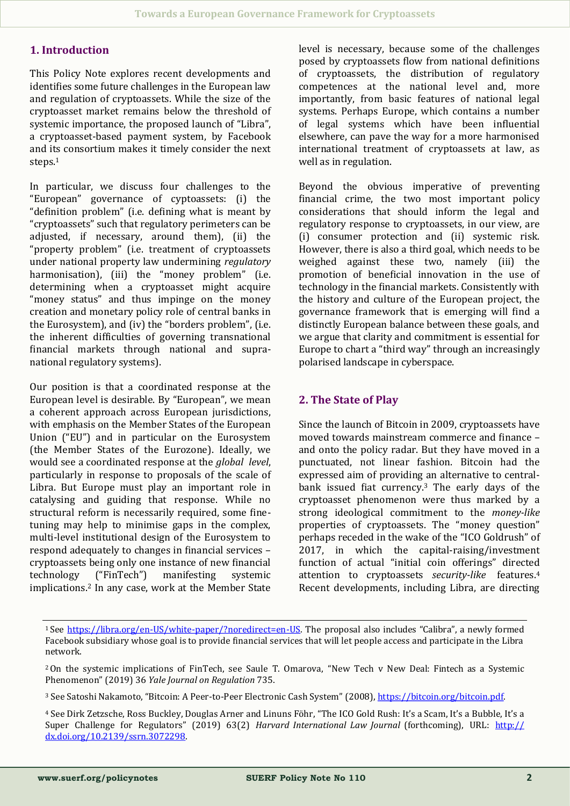# **1. Introduction**

This Policy Note explores recent developments and identifies some future challenges in the European law and regulation of cryptoassets. While the size of the cryptoasset market remains below the threshold of systemic importance, the proposed launch of "Libra", a cryptoasset-based payment system, by Facebook and its consortium makes it timely consider the next steps.<sup>1</sup>

In particular, we discuss four challenges to the "European" governance of cyptoassets: (i) the "definition problem" (i.e. defining what is meant by "cryptoassets" such that regulatory perimeters can be adjusted, if necessary, around them), (ii) the "property problem" (i.e. treatment of cryptoassets under national property law undermining *regulatory* harmonisation), (iii) the "money problem" (i.e. determining when a cryptoasset might acquire "money status" and thus impinge on the money creation and monetary policy role of central banks in the Eurosystem), and (iv) the "borders problem", (i.e. the inherent difficulties of governing transnational financial markets through national and supranational regulatory systems).

Our position is that a coordinated response at the European level is desirable. By "European", we mean a coherent approach across European jurisdictions, with emphasis on the Member States of the European Union ("EU") and in particular on the Eurosystem (the Member States of the Eurozone). Ideally, we would see a coordinated response at the *global level*, particularly in response to proposals of the scale of Libra. But Europe must play an important role in catalysing and guiding that response. While no structural reform is necessarily required, some finetuning may help to minimise gaps in the complex, multi-level institutional design of the Eurosystem to respond adequately to changes in financial services – cryptoassets being only one instance of new financial technology ("FinTech") manifesting systemic implications.<sup>2</sup> In any case, work at the Member State level is necessary, because some of the challenges posed by cryptoassets flow from national definitions of cryptoassets, the distribution of regulatory competences at the national level and, more importantly, from basic features of national legal systems. Perhaps Europe, which contains a number of legal systems which have been influential elsewhere, can pave the way for a more harmonised international treatment of cryptoassets at law, as well as in regulation.

Beyond the obvious imperative of preventing financial crime, the two most important policy considerations that should inform the legal and regulatory response to cryptoassets, in our view, are (i) consumer protection and (ii) systemic risk. However, there is also a third goal, which needs to be weighed against these two, namely (iii) the promotion of beneficial innovation in the use of technology in the financial markets. Consistently with the history and culture of the European project, the governance framework that is emerging will find a distinctly European balance between these goals, and we argue that clarity and commitment is essential for Europe to chart a "third way" through an increasingly polarised landscape in cyberspace.

## **2. The State of Play**

Since the launch of Bitcoin in 2009, cryptoassets have moved towards mainstream commerce and finance – and onto the policy radar. But they have moved in a punctuated, not linear fashion. Bitcoin had the expressed aim of providing an alternative to centralbank issued fiat currency.<sup>3</sup> The early days of the cryptoasset phenomenon were thus marked by a strong ideological commitment to the *money-like*  properties of cryptoassets. The "money question" perhaps receded in the wake of the "ICO Goldrush" of 2017, in which the capital-raising/investment function of actual "initial coin offerings" directed attention to cryptoassets *security-like* features.<sup>4</sup> Recent developments, including Libra, are directing

<sup>&</sup>lt;sup>1</sup>See https://libra.org/en-US/white-[paper/?noredirect=en](https://libra.org/en-US/white-paper/?noredirect=en-US)-US. The proposal also includes "Calibra", a newly formed Facebook subsidiary whose goal is to provide financial services that will let people access and participate in the Libra network.

<sup>2</sup>On the systemic implications of FinTech, see Saule T. Omarova, "New Tech v New Deal: Fintech as a Systemic Phenomenon" (2019) 36 *Yale Journal on Regulation* 735.

<sup>&</sup>lt;sup>3</sup> See Satoshi Nakamoto, "Bitcoin: A Peer-to-Peer Electronic Cash System" (2008), [https://bitcoin.org/bitcoin.pdf.](https://bitcoin.org/bitcoin.pdf)

<sup>&</sup>lt;sup>4</sup> See Dirk Zetzsche, Ross Buckley, Douglas Arner and Linuns Föhr, "The ICO Gold Rush: It's a Scam, It's a Bubble, It's a Super Challenge for Regulators" (2019) 63(2) *Harvard International Law Journal* (forthcoming), URL: [http://](http://dx.doi.org/10.2139/ssrn.3072298) [dx.doi.org/10.2139/ssrn.3072298.](http://dx.doi.org/10.2139/ssrn.3072298)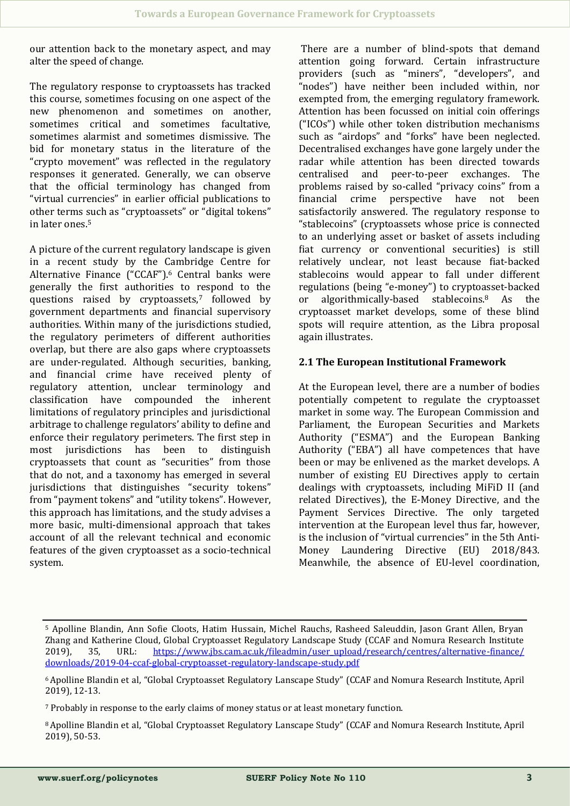our attention back to the monetary aspect, and may alter the speed of change.

The regulatory response to cryptoassets has tracked this course, sometimes focusing on one aspect of the new phenomenon and sometimes on another, sometimes critical and sometimes facultative, sometimes alarmist and sometimes dismissive. The bid for monetary status in the literature of the "crypto movement" was reflected in the regulatory responses it generated. Generally, we can observe that the official terminology has changed from "virtual currencies" in earlier official publications to other terms such as "cryptoassets" or "digital tokens" in later ones.<sup>5</sup>

A picture of the current regulatory landscape is given in a recent study by the Cambridge Centre for Alternative Finance ("CCAF").<sup>6</sup> Central banks were generally the first authorities to respond to the questions raised by cryptoassets,<sup>7</sup> followed by government departments and financial supervisory authorities. Within many of the jurisdictions studied, the regulatory perimeters of different authorities overlap, but there are also gaps where cryptoassets are under-regulated. Although securities, banking, and financial crime have received plenty of regulatory attention, unclear terminology and classification have compounded the inherent limitations of regulatory principles and jurisdictional arbitrage to challenge regulators' ability to define and enforce their regulatory perimeters. The first step in most jurisdictions has been to distinguish cryptoassets that count as "securities" from those that do not, and a taxonomy has emerged in several jurisdictions that distinguishes "security tokens" from "payment tokens" and "utility tokens". However, this approach has limitations, and the study advises a more basic, multi-dimensional approach that takes account of all the relevant technical and economic features of the given cryptoasset as a socio-technical system.

There are a number of blind-spots that demand attention going forward. Certain infrastructure providers (such as "miners", "developers", and "nodes") have neither been included within, nor exempted from, the emerging regulatory framework. Attention has been focussed on initial coin offerings ("ICOs") while other token distribution mechanisms such as "airdops" and "forks" have been neglected. Decentralised exchanges have gone largely under the radar while attention has been directed towards centralised and peer-to-peer exchanges. The problems raised by so-called "privacy coins" from a financial crime perspective have not been satisfactorily answered. The regulatory response to "stablecoins" (cryptoassets whose price is connected to an underlying asset or basket of assets including fiat currency or conventional securities) is still relatively unclear, not least because fiat-backed stablecoins would appear to fall under different regulations (being "e-money") to cryptoasset-backed or algorithmically-based stablecoins.<sup>8</sup> As the cryptoasset market develops, some of these blind spots will require attention, as the Libra proposal again illustrates.

#### **2.1 The European Institutional Framework**

At the European level, there are a number of bodies potentially competent to regulate the cryptoasset market in some way. The European Commission and Parliament, the European Securities and Markets Authority ("ESMA") and the European Banking Authority ("EBA") all have competences that have been or may be enlivened as the market develops. A number of existing EU Directives apply to certain dealings with cryptoassets, including MiFiD II (and related Directives), the E-Money Directive, and the Payment Services Directive. The only targeted intervention at the European level thus far, however, is the inclusion of "virtual currencies" in the 5th Anti-Money Laundering Directive (EU) 2018/843. Meanwhile, the absence of EU-level coordination,

<sup>5</sup> Apolline Blandin, Ann Sofie Cloots, Hatim Hussain, Michel Rauchs, Rasheed Saleuddin, Jason Grant Allen, Bryan Zhang and Katherine Cloud, Global Cryptoasset Regulatory Landscape Study (CCAF and Nomura Research Institute 2019), 35, URL: [https://www.jbs.cam.ac.uk/fileadmin/user\\_upload/research/centres/alternative](https://www.jbs.cam.ac.uk/fileadmin/user_upload/research/centres/alternative-finance/downloads/2019-04-ccaf-global-cryptoasset-regulatory-landscape-study.pdf)-finance/ [downloads/2019](https://www.jbs.cam.ac.uk/fileadmin/user_upload/research/centres/alternative-finance/downloads/2019-04-ccaf-global-cryptoasset-regulatory-landscape-study.pdf)-04-ccaf-global-cryptoasset-regulatory-landscape-study.pdf

<sup>6</sup>Apolline Blandin et al, "Global Cryptoasset Regulatory Lanscape Study" (CCAF and Nomura Research Institute, April 2019), 12-13.

<sup>7</sup> Probably in response to the early claims of money status or at least monetary function.

<sup>8</sup>Apolline Blandin et al, "Global Cryptoasset Regulatory Lanscape Study" (CCAF and Nomura Research Institute, April 2019), 50-53.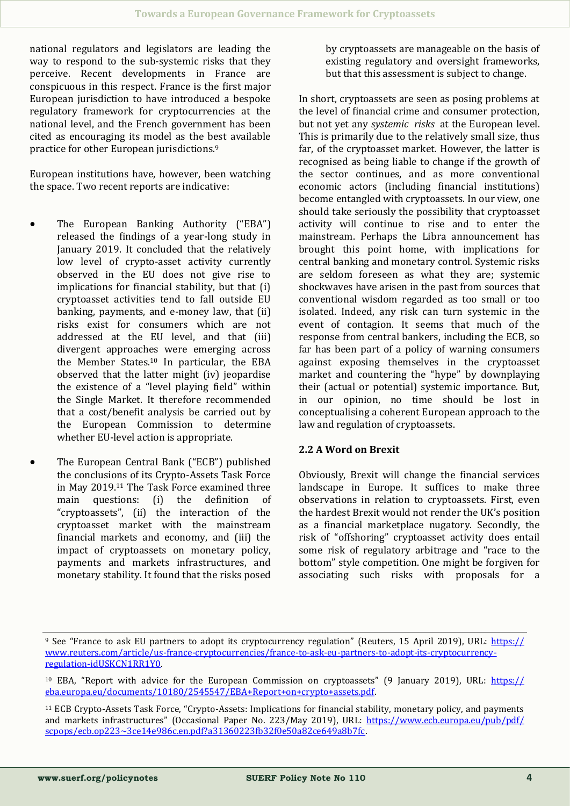national regulators and legislators are leading the way to respond to the sub-systemic risks that they perceive. Recent developments in France are conspicuous in this respect. France is the first major European jurisdiction to have introduced a bespoke regulatory framework for cryptocurrencies at the national level, and the French government has been cited as encouraging its model as the best available practice for other European jurisdictions.<sup>9</sup>

European institutions have, however, been watching the space. Two recent reports are indicative:

- The European Banking Authority ("EBA") released the findings of a year-long study in January 2019. It concluded that the relatively low level of crypto-asset activity currently observed in the EU does not give rise to implications for financial stability, but that (i) cryptoasset activities tend to fall outside EU banking, payments, and e-money law, that (ii) risks exist for consumers which are not addressed at the EU level, and that (iii) divergent approaches were emerging across the Member States.<sup>10</sup> In particular, the EBA observed that the latter might (iv) jeopardise the existence of a "level playing field" within the Single Market. It therefore recommended that a cost/benefit analysis be carried out by the European Commission to determine whether EU-level action is appropriate.
- The European Central Bank ("ECB") published the conclusions of its Crypto-Assets Task Force in May 2019.<sup>11</sup> The Task Force examined three main questions: (i) the definition of "cryptoassets", (ii) the interaction of the cryptoasset market with the mainstream financial markets and economy, and (iii) the impact of cryptoassets on monetary policy, payments and markets infrastructures, and monetary stability. It found that the risks posed

by cryptoassets are manageable on the basis of existing regulatory and oversight frameworks, but that this assessment is subject to change.

In short, cryptoassets are seen as posing problems at the level of financial crime and consumer protection, but not yet any *systemic risks* at the European level. This is primarily due to the relatively small size, thus far, of the cryptoasset market. However, the latter is recognised as being liable to change if the growth of the sector continues, and as more conventional economic actors (including financial institutions) become entangled with cryptoassets. In our view, one should take seriously the possibility that cryptoasset activity will continue to rise and to enter the mainstream. Perhaps the Libra announcement has brought this point home, with implications for central banking and monetary control. Systemic risks are seldom foreseen as what they are; systemic shockwaves have arisen in the past from sources that conventional wisdom regarded as too small or too isolated. Indeed, any risk can turn systemic in the event of contagion. It seems that much of the response from central bankers, including the ECB, so far has been part of a policy of warning consumers against exposing themselves in the cryptoasset market and countering the "hype" by downplaying their (actual or potential) systemic importance. But, in our opinion, no time should be lost in conceptualising a coherent European approach to the law and regulation of cryptoassets.

#### **2.2 A Word on Brexit**

Obviously, Brexit will change the financial services landscape in Europe. It suffices to make three observations in relation to cryptoassets. First, even the hardest Brexit would not render the UK's position as a financial marketplace nugatory. Secondly, the risk of "offshoring" cryptoasset activity does entail some risk of regulatory arbitrage and "race to the bottom" style competition. One might be forgiven for associating such risks with proposals for a

<sup>9</sup> See "France to ask EU partners to adopt its cryptocurrency regulation" (Reuters, 15 April 2019), URL: [https://](https://www.reuters.com/article/us-france-cryptocurrencies/france-to-ask-eu-partners-to-adopt-its-cryptocurrency-regulation-idUSKCN1RR1Y0) [www.reuters.com/article/us](https://www.reuters.com/article/us-france-cryptocurrencies/france-to-ask-eu-partners-to-adopt-its-cryptocurrency-regulation-idUSKCN1RR1Y0)-france-cryptocurrencies/france-to-ask-eu-partners-to-adopt-its-cryptocurrencyregulation-[idUSKCN1RR1Y0.](https://www.reuters.com/article/us-france-cryptocurrencies/france-to-ask-eu-partners-to-adopt-its-cryptocurrency-regulation-idUSKCN1RR1Y0)

<sup>&</sup>lt;sup>10</sup> EBA, "Report with advice for the European Commission on cryptoassets" (9 January 2019), URL: [https://](https://eba.europa.eu/documents/10180/2545547/EBA+Report+on+crypto+assets.pdf) [eba.europa.eu/documents/10180/2545547/EBA+Report+on+crypto+assets.pdf.](https://eba.europa.eu/documents/10180/2545547/EBA+Report+on+crypto+assets.pdf)

<sup>11</sup> ECB Crypto-Assets Task Force, "Crypto-Assets: Implications for financial stability, monetary policy, and payments and markets infrastructures" (Occasional Paper No. 223/May 2019), URL: [https://www.ecb.europa.eu/pub/pdf/](https://www.ecb.europa.eu/pub/pdf/scpops/ecb.op223~3ce14e986c.en.pdf?a31360223fb32f0e50a82ce649a8b7fc) [scpops/ecb.op223~3ce14e986c.en.pdf?a31360223fb32f0e50a82ce649a8b7fc.](https://www.ecb.europa.eu/pub/pdf/scpops/ecb.op223~3ce14e986c.en.pdf?a31360223fb32f0e50a82ce649a8b7fc)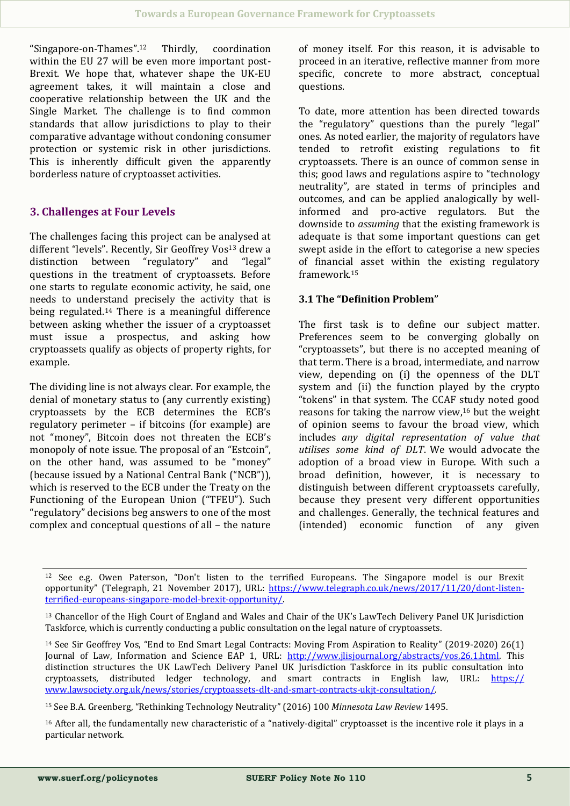"Singapore-on-Thames".<sup>12</sup> Thirdly, coordination within the EU 27 will be even more important post-Brexit. We hope that, whatever shape the UK-EU agreement takes, it will maintain a close and cooperative relationship between the UK and the Single Market. The challenge is to find common standards that allow jurisdictions to play to their comparative advantage without condoning consumer protection or systemic risk in other jurisdictions. This is inherently difficult given the apparently borderless nature of cryptoasset activities.

## **3. Challenges at Four Levels**

The challenges facing this project can be analysed at different "levels". Recently, Sir Geoffrey Vos<sup>13</sup> drew a distinction between "regulatory" and "legal" questions in the treatment of cryptoassets. Before one starts to regulate economic activity, he said, one needs to understand precisely the activity that is being regulated.<sup>14</sup> There is a meaningful difference between asking whether the issuer of a cryptoasset must issue a prospectus, and asking how cryptoassets qualify as objects of property rights, for example.

The dividing line is not always clear. For example, the denial of monetary status to (any currently existing) cryptoassets by the ECB determines the ECB's regulatory perimeter – if bitcoins (for example) are not "money", Bitcoin does not threaten the ECB's monopoly of note issue. The proposal of an "Estcoin", on the other hand, was assumed to be "money" (because issued by a National Central Bank ("NCB")), which is reserved to the ECB under the Treaty on the Functioning of the European Union ("TFEU"). Such "regulatory" decisions beg answers to one of the most complex and conceptual questions of all – the nature

of money itself. For this reason, it is advisable to proceed in an iterative, reflective manner from more specific, concrete to more abstract, conceptual questions.

To date, more attention has been directed towards the "regulatory" questions than the purely "legal" ones. As noted earlier, the majority of regulators have tended to retrofit existing regulations to fit cryptoassets. There is an ounce of common sense in this; good laws and regulations aspire to "technology neutrality", are stated in terms of principles and outcomes, and can be applied analogically by wellinformed and pro-active regulators. But the downside to *assuming* that the existing framework is adequate is that some important questions can get swept aside in the effort to categorise a new species of financial asset within the existing regulatory framework.<sup>15</sup>

#### **3.1 The "Definition Problem"**

The first task is to define our subject matter. Preferences seem to be converging globally on "cryptoassets", but there is no accepted meaning of that term. There is a broad, intermediate, and narrow view, depending on (i) the openness of the DLT system and (ii) the function played by the crypto "tokens" in that system. The CCAF study noted good reasons for taking the narrow view,<sup>16</sup> but the weight of opinion seems to favour the broad view, which includes *any digital representation of value that utilises some kind of DLT*. We would advocate the adoption of a broad view in Europe. With such a broad definition, however, it is necessary to distinguish between different cryptoassets carefully, because they present very different opportunities and challenges. Generally, the technical features and (intended) economic function of any given

<sup>12</sup> See e.g. Owen Paterson, "Don't listen to the terrified Europeans. The Singapore model is our Brexit opportunity" (Telegraph, 21 November 2017), URL: [https://www.telegraph.co.uk/news/2017/11/20/dont](https://www.telegraph.co.uk/news/2017/11/20/dont-listen-terrified-europeans-singapore-model-brexit-opportunity/)-listenterrified-europeans-singapore-model-brexit-[opportunity/.](https://www.telegraph.co.uk/news/2017/11/20/dont-listen-terrified-europeans-singapore-model-brexit-opportunity/) 

<sup>13</sup> Chancellor of the High Court of England and Wales and Chair of the UK's LawTech Delivery Panel UK Jurisdiction Taskforce, which is currently conducting a public consultation on the legal nature of cryptoassets.

<sup>14</sup> See Sir Geoffrey Vos, "End to End Smart Legal Contracts: Moving From Aspiration to Reality" (2019-2020) 26(1) Journal of Law, Information and Science EAP 1, URL: [http://www.jlisjournal.org/abstracts/vos.26.1.html.](http://www.jlisjournal.org/abstracts/vos.26.1.html) This distinction structures the UK LawTech Delivery Panel UK Jurisdiction Taskforce in its public consultation into cryptoassets, distributed ledger technology, and smart contracts in English law, URL: [https://](https://www.lawsociety.org.uk/news/stories/cryptoassets-dlt-and-smart-contracts-ukjt-consultation/) [www.lawsociety.org.uk/news/stories/cryptoassets](https://www.lawsociety.org.uk/news/stories/cryptoassets-dlt-and-smart-contracts-ukjt-consultation/)-dlt-and-smart-contracts-ukjt-consultation/.

<sup>15</sup> See B.A. Greenberg, "Rethinking Technology Neutrality" (2016) 100 *Minnesota Law Review* 1495.

<sup>16</sup> After all, the fundamentally new characteristic of a "natively-digital" cryptoasset is the incentive role it plays in a particular network.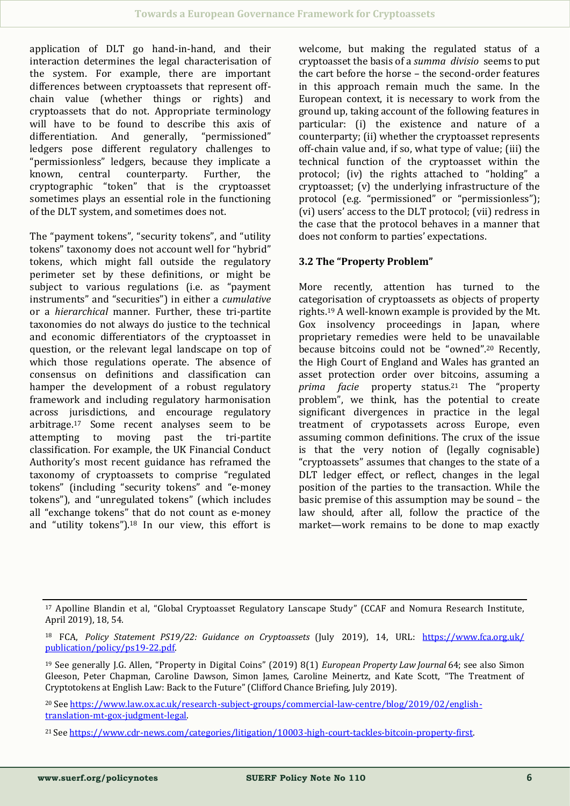application of DLT go hand-in-hand, and their interaction determines the legal characterisation of the system. For example, there are important differences between cryptoassets that represent offchain value (whether things or rights) and cryptoassets that do not. Appropriate terminology will have to be found to describe this axis of differentiation. And generally, "permissioned" ledgers pose different regulatory challenges to "permissionless" ledgers, because they implicate a known, central counterparty. Further, the cryptographic "token" that is the cryptoasset sometimes plays an essential role in the functioning of the DLT system, and sometimes does not.

The "payment tokens", "security tokens", and "utility tokens" taxonomy does not account well for "hybrid" tokens, which might fall outside the regulatory perimeter set by these definitions, or might be subject to various regulations (i.e. as "payment instruments" and "securities") in either a *cumulative* or a *hierarchical* manner. Further, these tri-partite taxonomies do not always do justice to the technical and economic differentiators of the cryptoasset in question, or the relevant legal landscape on top of which those regulations operate. The absence of consensus on definitions and classification can hamper the development of a robust regulatory framework and including regulatory harmonisation across jurisdictions, and encourage regulatory arbitrage.<sup>17</sup> Some recent analyses seem to be attempting to moving past the tri-partite classification. For example, the UK Financial Conduct Authority's most recent guidance has reframed the taxonomy of cryptoassets to comprise "regulated tokens" (including "security tokens" and "e-money tokens"), and "unregulated tokens" (which includes all "exchange tokens" that do not count as e-money and "utility tokens").<sup>18</sup> In our view, this effort is

welcome, but making the regulated status of a cryptoasset the basis of a *summa divisio* seems to put the cart before the horse – the second-order features in this approach remain much the same. In the European context, it is necessary to work from the ground up, taking account of the following features in particular: (i) the existence and nature of a counterparty; (ii) whether the cryptoasset represents off-chain value and, if so, what type of value; (iii) the technical function of the cryptoasset within the protocol; (iv) the rights attached to "holding" a cryptoasset; (v) the underlying infrastructure of the protocol (e.g. "permissioned" or "permissionless"); (vi) users' access to the DLT protocol; (vii) redress in the case that the protocol behaves in a manner that does not conform to parties' expectations.

#### **3.2 The "Property Problem"**

More recently, attention has turned to the categorisation of cryptoassets as objects of property rights.<sup>19</sup> A well-known example is provided by the Mt. Gox insolvency proceedings in Japan, where proprietary remedies were held to be unavailable because bitcoins could not be "owned".<sup>20</sup> Recently, the High Court of England and Wales has granted an asset protection order over bitcoins, assuming a *prima facie* property status.<sup>21</sup> The "property problem", we think, has the potential to create significant divergences in practice in the legal treatment of crypotassets across Europe, even assuming common definitions. The crux of the issue is that the very notion of (legally cognisable) "cryptoassets" assumes that changes to the state of a DLT ledger effect, or reflect, changes in the legal position of the parties to the transaction. While the basic premise of this assumption may be sound – the law should, after all, follow the practice of the market—work remains to be done to map exactly

<sup>17</sup> Apolline Blandin et al, "Global Cryptoasset Regulatory Lanscape Study" (CCAF and Nomura Research Institute, April 2019), 18, 54.

<sup>18</sup> FCA, *Policy Statement PS19/22: Guidance on Cryptoassets* (July 2019), 14, URL: [https://www.fca.org.uk/](https://www.fca.org.uk/publication/policy/ps19-22.pdf) [publication/policy/ps19](https://www.fca.org.uk/publication/policy/ps19-22.pdf)-22.pdf.

<sup>19</sup> See generally J.G. Allen, "Property in Digital Coins" (2019) 8(1) *European Property Law Journal* 64; see also Simon Gleeson, Peter Chapman, Caroline Dawson, Simon James, Caroline Meinertz, and Kate Scott, "The Treatment of Cryptotokens at English Law: Back to the Future" (Clifford Chance Briefing, July 2019).

<sup>20</sup> See [https://www.law.ox.ac.uk/research](https://www.law.ox.ac.uk/research-subject-groups/commercial-law-centre/blog/2019/02/english-translation-mt-gox-judgment-legal)-subject-groups/commercial-law-centre/blog/2019/02/english[translation](https://www.law.ox.ac.uk/research-subject-groups/commercial-law-centre/blog/2019/02/english-translation-mt-gox-judgment-legal)-mt-gox-judgment-legal.

<sup>21</sup> See https://www.cdr-[news.com/categories/litigation/10003](https://www.cdr-news.com/categories/litigation/10003-high-court-tackles-bitcoin-property-first)-high-court-tackles-bitcoin-property-first.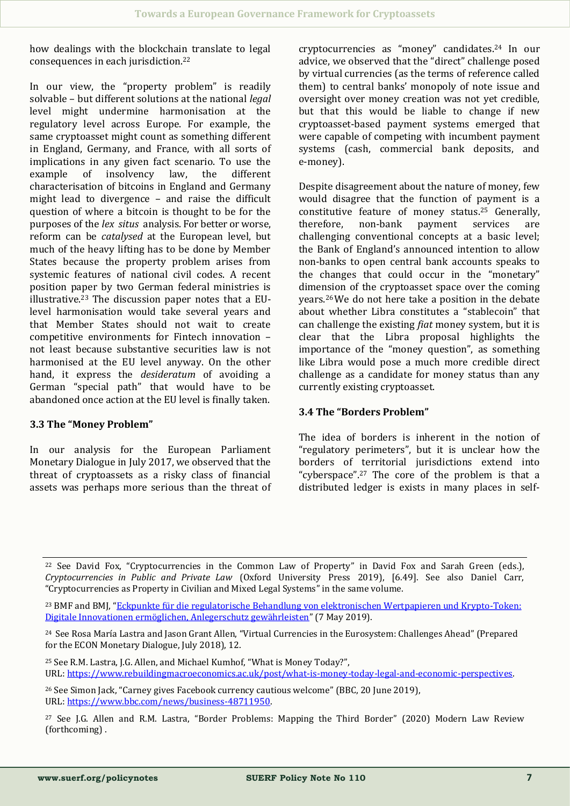how dealings with the blockchain translate to legal consequences in each jurisdiction.<sup>22</sup>

In our view, the "property problem" is readily solvable – but different solutions at the national *legal* level might undermine harmonisation at the regulatory level across Europe. For example, the same cryptoasset might count as something different in England, Germany, and France, with all sorts of implications in any given fact scenario. To use the example of insolvency law, the different characterisation of bitcoins in England and Germany might lead to divergence – and raise the difficult question of where a bitcoin is thought to be for the purposes of the *lex situs* analysis. For better or worse, reform can be *catalysed* at the European level, but much of the heavy lifting has to be done by Member States because the property problem arises from systemic features of national civil codes. A recent position paper by two German federal ministries is illustrative.<sup>23</sup> The discussion paper notes that a EUlevel harmonisation would take several years and that Member States should not wait to create competitive environments for Fintech innovation – not least because substantive securities law is not harmonised at the EU level anyway. On the other hand, it express the *desideratum* of avoiding a German "special path" that would have to be abandoned once action at the EU level is finally taken.

#### **3.3 The "Money Problem"**

In our analysis for the European Parliament Monetary Dialogue in July 2017, we observed that the threat of cryptoassets as a risky class of financial assets was perhaps more serious than the threat of

cryptocurrencies as "money" candidates.<sup>24</sup> In our advice, we observed that the "direct" challenge posed by virtual currencies (as the terms of reference called them) to central banks' monopoly of note issue and oversight over money creation was not yet credible, but that this would be liable to change if new cryptoasset-based payment systems emerged that were capable of competing with incumbent payment systems (cash, commercial bank deposits, and e-money).

Despite disagreement about the nature of money, few would disagree that the function of payment is a constitutive feature of money status.<sup>25</sup> Generally, therefore, non-bank payment services are challenging conventional concepts at a basic level; the Bank of England's announced intention to allow non-banks to open central bank accounts speaks to the changes that could occur in the "monetary" dimension of the cryptoasset space over the coming years.26 We do not here take a position in the debate about whether Libra constitutes a "stablecoin" that can challenge the existing *fiat* money system, but it is clear that the Libra proposal highlights the importance of the "money question", as something like Libra would pose a much more credible direct challenge as a candidate for money status than any currently existing cryptoasset.

#### **3.4 The "Borders Problem"**

The idea of borders is inherent in the notion of "regulatory perimeters", but it is unclear how the borders of territorial jurisdictions extend into "cyberspace".<sup>27</sup> The core of the problem is that a distributed ledger is exists in many places in self-

<sup>25</sup> See R.M. Lastra, J.G. Allen, and Michael Kumhof, "What is Money Today?", URL: [https://www.rebuildingmacroeconomics.ac.uk/post/what](https://www.rebuildingmacroeconomics.ac.uk/post/what-is-money-today-legal-and-economic-perspectives)-is-money-today-legal-and-economic-perspectives.

<sup>26</sup> See Simon Jack, "Carney gives Facebook currency cautious welcome" (BBC, 20 June 2019), URL: [https://www.bbc.com/news/business](https://www.bbc.com/news/business-48711950)-48711950.

<sup>22</sup> See David Fox, "Cryptocurrencies in the Common Law of Property" in David Fox and Sarah Green (eds.), *Cryptocurrencies in Public and Private Law* (Oxford University Press 2019), [6.49]. See also Daniel Carr, "Cryptocurrencies as Property in Civilian and Mixed Legal Systems" in the same volume.

<sup>&</sup>lt;sup>23</sup> BMF and BMI, "Eckpunkte für die regulatorische Behandlung von elektronischen Wertpapieren und Krypto-Token: Digitale Innovationen ermöglichen, Anlegerschutz gewährleisten" (7 May 2019).

<sup>&</sup>lt;sup>24</sup> See Rosa María Lastra and Jason Grant Allen, "Virtual Currencies in the Eurosystem: Challenges Ahead" (Prepared for the ECON Monetary Dialogue, July 2018), 12.

<sup>27</sup> See J.G. Allen and R.M. Lastra, "Border Problems: Mapping the Third Border" (2020) Modern Law Review (forthcoming) .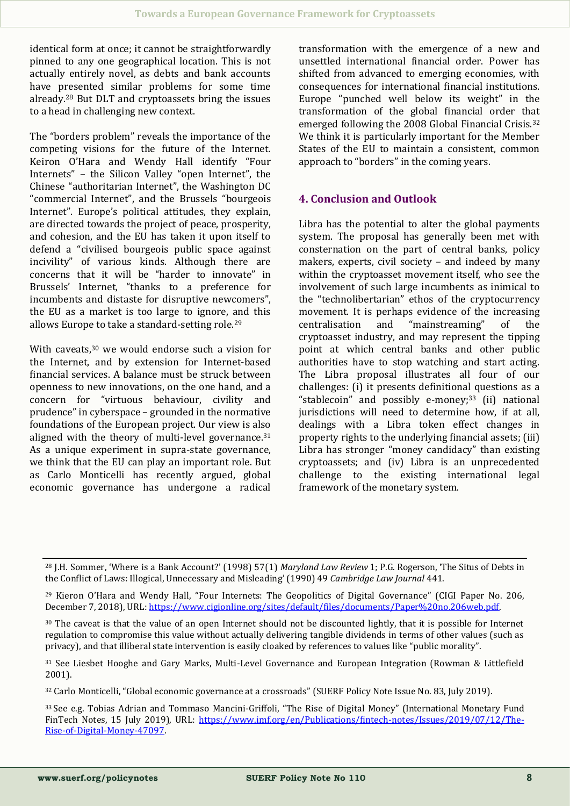identical form at once; it cannot be straightforwardly pinned to any one geographical location. This is not actually entirely novel, as debts and bank accounts have presented similar problems for some time already.<sup>28</sup> But DLT and cryptoassets bring the issues to a head in challenging new context.

The "borders problem" reveals the importance of the competing visions for the future of the Internet. Keiron O'Hara and Wendy Hall identify "Four Internets" – the Silicon Valley "open Internet", the Chinese "authoritarian Internet", the Washington DC "commercial Internet", and the Brussels "bourgeois Internet". Europe's political attitudes, they explain, are directed towards the project of peace, prosperity, and cohesion, and the EU has taken it upon itself to defend a "civilised bourgeois public space against incivility" of various kinds. Although there are concerns that it will be "harder to innovate" in Brussels' Internet, "thanks to a preference for incumbents and distaste for disruptive newcomers", the EU as a market is too large to ignore, and this allows Europe to take a standard-setting role.<sup>29</sup>

With caveats,<sup>30</sup> we would endorse such a vision for the Internet, and by extension for Internet-based financial services. A balance must be struck between openness to new innovations, on the one hand, and a concern for "virtuous behaviour, civility and prudence" in cyberspace – grounded in the normative foundations of the European project. Our view is also aligned with the theory of multi-level governance.<sup>31</sup> As a unique experiment in supra-state governance, we think that the EU can play an important role. But as Carlo Monticelli has recently argued, global economic governance has undergone a radical transformation with the emergence of a new and unsettled international financial order. Power has shifted from advanced to emerging economies, with consequences for international financial institutions. Europe "punched well below its weight" in the transformation of the global financial order that emerged following the 2008 Global Financial Crisis.<sup>32</sup> We think it is particularly important for the Member States of the EU to maintain a consistent, common approach to "borders" in the coming years.

#### **4. Conclusion and Outlook**

Libra has the potential to alter the global payments system. The proposal has generally been met with consternation on the part of central banks, policy makers, experts, civil society – and indeed by many within the cryptoasset movement itself, who see the involvement of such large incumbents as inimical to the "technolibertarian" ethos of the cryptocurrency movement. It is perhaps evidence of the increasing centralisation and "mainstreaming" of the cryptoasset industry, and may represent the tipping point at which central banks and other public authorities have to stop watching and start acting. The Libra proposal illustrates all four of our challenges: (i) it presents definitional questions as a "stablecoin" and possibly e-money;<sup>33</sup> (ii) national jurisdictions will need to determine how, if at all, dealings with a Libra token effect changes in property rights to the underlying financial assets; (iii) Libra has stronger "money candidacy" than existing cryptoassets; and (iv) Libra is an unprecedented challenge to the existing international legal framework of the monetary system.

<sup>28</sup> J.H. Sommer, 'Where is a Bank Account?' (1998) 57(1) *Maryland Law Review* 1; P.G. Rogerson, 'The Situs of Debts in the Conflict of Laws: Illogical, Unnecessary and Misleading' (1990) 49 *Cambridge Law Journal* 441.

<sup>29</sup> Kieron O'Hara and Wendy Hall, "Four Internets: The Geopolitics of Digital Governance" (CIGI Paper No. 206, December 7, 2018), URL: [https://www.cigionline.org/sites/default/files/documents/Paper%20no.206web.pdf.](https://www.cigionline.org/sites/default/files/documents/Paper%20no.206web.pdf)

 $30$  The caveat is that the value of an open Internet should not be discounted lightly, that it is possible for Internet regulation to compromise this value without actually delivering tangible dividends in terms of other values (such as privacy), and that illiberal state intervention is easily cloaked by references to values like "public morality".

<sup>31</sup> See Liesbet Hooghe and Gary Marks, Multi-Level Governance and European Integration (Rowman & Littlefield 2001).

<sup>32</sup> Carlo Monticelli, "Global economic governance at a crossroads" (SUERF Policy Note Issue No. 83, July 2019).

<sup>33</sup> See e.g. Tobias Adrian and Tommaso Mancini-Griffoli, "The Rise of Digital Money" (International Monetary Fund FinTech Notes, 15 July 2019), URL: [https://www.imf.org/en/Publications/fintech](https://www.imf.org/en/Publications/fintech-notes/Issues/2019/07/12/The-Rise-of-Digital-Money-47097)-notes/Issues/2019/07/12/The-Rise-of-Digital-Money-[47097.](https://www.imf.org/en/Publications/fintech-notes/Issues/2019/07/12/The-Rise-of-Digital-Money-47097)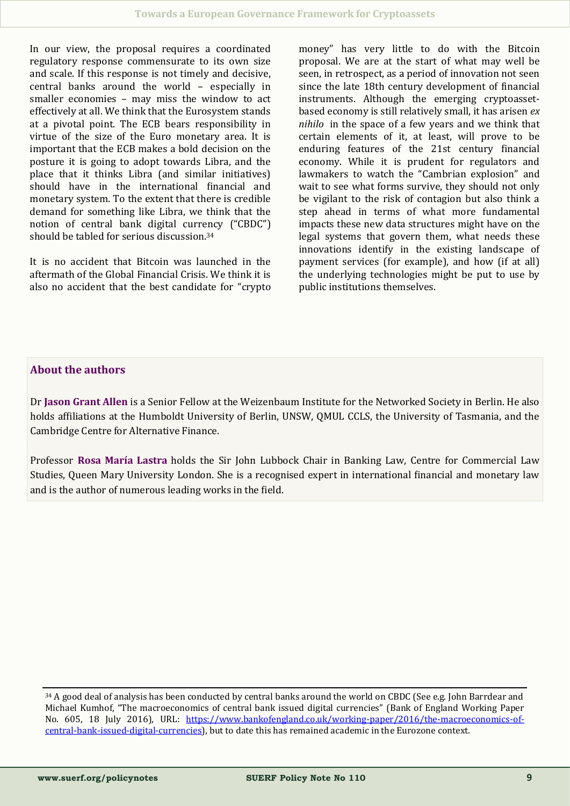In our view, the proposal requires a coordinated regulatory response commensurate to its own size and scale. If this response is not timely and decisive, central banks around the world – especially in smaller economies – may miss the window to act effectively at all. We think that the Eurosystem stands at a pivotal point. The ECB bears responsibility in virtue of the size of the Euro monetary area. It is important that the ECB makes a bold decision on the posture it is going to adopt towards Libra, and the place that it thinks Libra (and similar initiatives) should have in the international financial and monetary system. To the extent that there is credible demand for something like Libra, we think that the notion of central bank digital currency ("CBDC") should be tabled for serious discussion.<sup>34</sup>

It is no accident that Bitcoin was launched in the aftermath of the Global Financial Crisis. We think it is also no accident that the best candidate for "crypto

money" has very little to do with the Bitcoin proposal. We are at the start of what may well be seen, in retrospect, as a period of innovation not seen since the late 18th century development of financial instruments. Although the emerging cryptoassetbased economy is still relatively small, it has arisen *ex nihilo* in the space of a few years and we think that certain elements of it, at least, will prove to be enduring features of the 21st century financial economy. While it is prudent for regulators and lawmakers to watch the "Cambrian explosion" and wait to see what forms survive, they should not only be vigilant to the risk of contagion but also think a step ahead in terms of what more fundamental impacts these new data structures might have on the legal systems that govern them, what needs these innovations identify in the existing landscape of payment services (for example), and how (if at all) the underlying technologies might be put to use by public institutions themselves.

#### **About the authors**

Dr **Jason Grant Allen** is a Senior Fellow at the Weizenbaum Institute for the Networked Society in Berlin. He also holds affiliations at the Humboldt University of Berlin, UNSW, QMUL CCLS, the University of Tasmania, and the Cambridge Centre for Alternative Finance.

Professor **Rosa María Lastra** holds the Sir John Lubbock Chair in Banking Law, Centre for Commercial Law Studies, Queen Mary University London. She is a recognised expert in international financial and monetary law and is the author of numerous leading works in the field.

<sup>34</sup> A good deal of analysis has been conducted by central banks around the world on CBDC (See e.g. John Barrdear and Michael Kumhof, "The macroeconomics of central bank issued digital currencies" (Bank of England Working Paper No. 605, 18 July 2016), URL: [https://www.bankofengland.co.uk/working](https://www.bankofengland.co.uk/working-paper/2016/the-macroeconomics-of-central-bank-issued-digital-currencies)-paper/2016/the-macroeconomics-ofcentral-bank-issued-digital-[currencies\),](https://www.bankofengland.co.uk/working-paper/2016/the-macroeconomics-of-central-bank-issued-digital-currencies) but to date this has remained academic in the Eurozone context.